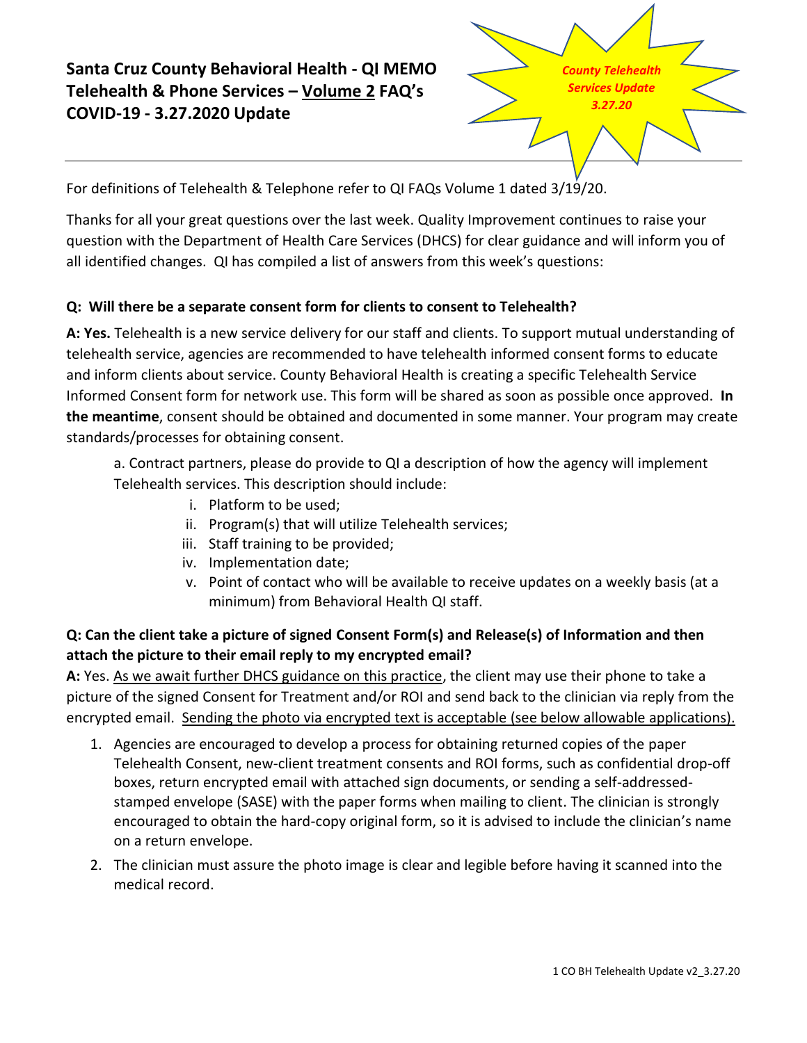# **Santa Cruz County Behavioral Health - QI MEMO Telehealth & Phone Services – Volume 2 FAQ's COVID-19 - 3.27.2020 Update**



For definitions of Telehealth & Telephone refer to QI FAQs Volume 1 dated 3/19/20.

Thanks for all your great questions over the last week. Quality Improvement continues to raise your question with the Department of Health Care Services (DHCS) for clear guidance and will inform you of all identified changes. QI has compiled a list of answers from this week's questions:

# **Q: Will there be a separate consent form for clients to consent to Telehealth?**

**A: Yes.** Telehealth is a new service delivery for our staff and clients. To support mutual understanding of telehealth service, agencies are recommended to have telehealth informed consent forms to educate and inform clients about service. County Behavioral Health is creating a specific Telehealth Service Informed Consent form for network use. This form will be shared as soon as possible once approved. **In the meantime**, consent should be obtained and documented in some manner. Your program may create standards/processes for obtaining consent.

a. Contract partners, please do provide to QI a description of how the agency will implement Telehealth services. This description should include:

- i. Platform to be used;
- ii. Program(s) that will utilize Telehealth services;
- iii. Staff training to be provided;
- iv. Implementation date;
- v. Point of contact who will be available to receive updates on a weekly basis (at a minimum) from Behavioral Health QI staff.

# **Q: Can the client take a picture of signed Consent Form(s) and Release(s) of Information and then attach the picture to their email reply to my encrypted email?**

**A:** Yes. As we await further DHCS guidance on this practice, the client may use their phone to take a picture of the signed Consent for Treatment and/or ROI and send back to the clinician via reply from the encrypted email. Sending the photo via encrypted text is acceptable (see below allowable applications).

- 1. Agencies are encouraged to develop a process for obtaining returned copies of the paper Telehealth Consent, new-client treatment consents and ROI forms, such as confidential drop-off boxes, return encrypted email with attached sign documents, or sending a self-addressedstamped envelope (SASE) with the paper forms when mailing to client. The clinician is strongly encouraged to obtain the hard-copy original form, so it is advised to include the clinician's name on a return envelope.
- 2. The clinician must assure the photo image is clear and legible before having it scanned into the medical record.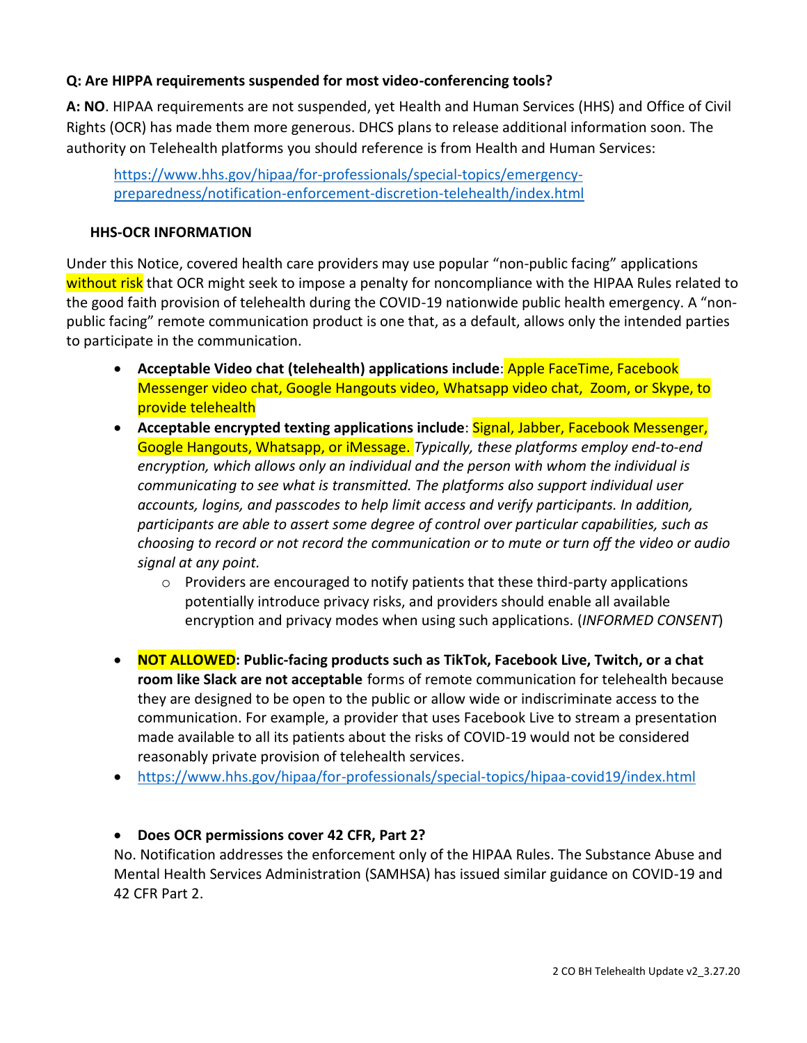#### **Q: Are HIPPA requirements suspended for most video-conferencing tools?**

**A: NO**. HIPAA requirements are not suspended, yet Health and Human Services (HHS) and Office of Civil Rights (OCR) has made them more generous. DHCS plans to release additional information soon. The authority on Telehealth platforms you should reference is from Health and Human Services:

[https://www.hhs.gov/hipaa/for-professionals/special-topics/emergency](https://www.hhs.gov/hipaa/for-professionals/special-topics/emergency-preparedness/notification-enforcement-discretion-telehealth/index.html)[preparedness/notification-enforcement-discretion-telehealth/index.html](https://www.hhs.gov/hipaa/for-professionals/special-topics/emergency-preparedness/notification-enforcement-discretion-telehealth/index.html)

#### **HHS-OCR INFORMATION**

Under this Notice, covered health care providers may use popular "non-public facing" applications without risk that OCR might seek to impose a penalty for noncompliance with the HIPAA Rules related to the good faith provision of telehealth during the COVID-19 nationwide public health emergency. A "nonpublic facing" remote communication product is one that, as a default, allows only the intended parties to participate in the communication.

- **Acceptable Video chat (telehealth) applications include**: Apple FaceTime, Facebook Messenger video chat, Google Hangouts video, Whatsapp video chat, Zoom, or Skype, to provide telehealth
- **Acceptable encrypted texting applications include**: Signal, Jabber, Facebook Messenger, Google Hangouts, Whatsapp, or iMessage. *Typically, these platforms employ end-to-end encryption, which allows only an individual and the person with whom the individual is communicating to see what is transmitted. The platforms also support individual user accounts, logins, and passcodes to help limit access and verify participants. In addition, participants are able to assert some degree of control over particular capabilities, such as choosing to record or not record the communication or to mute or turn off the video or audio signal at any point.*
	- $\circ$  Providers are encouraged to notify patients that these third-party applications potentially introduce privacy risks, and providers should enable all available encryption and privacy modes when using such applications. (*INFORMED CONSENT*)
- **NOT ALLOWED: Public-facing products such as TikTok, Facebook Live, Twitch, or a chat room like Slack are not acceptable** forms of remote communication for telehealth because they are designed to be open to the public or allow wide or indiscriminate access to the communication. For example, a provider that uses Facebook Live to stream a presentation made available to all its patients about the risks of COVID-19 would not be considered reasonably private provision of telehealth services.
- <https://www.hhs.gov/hipaa/for-professionals/special-topics/hipaa-covid19/index.html>

#### • **Does OCR permissions cover 42 CFR, Part 2?**

No. Notification addresses the enforcement only of the HIPAA Rules. The Substance Abuse and Mental Health Services Administration (SAMHSA) has issued similar guidance on COVID-19 and 42 CFR Part 2.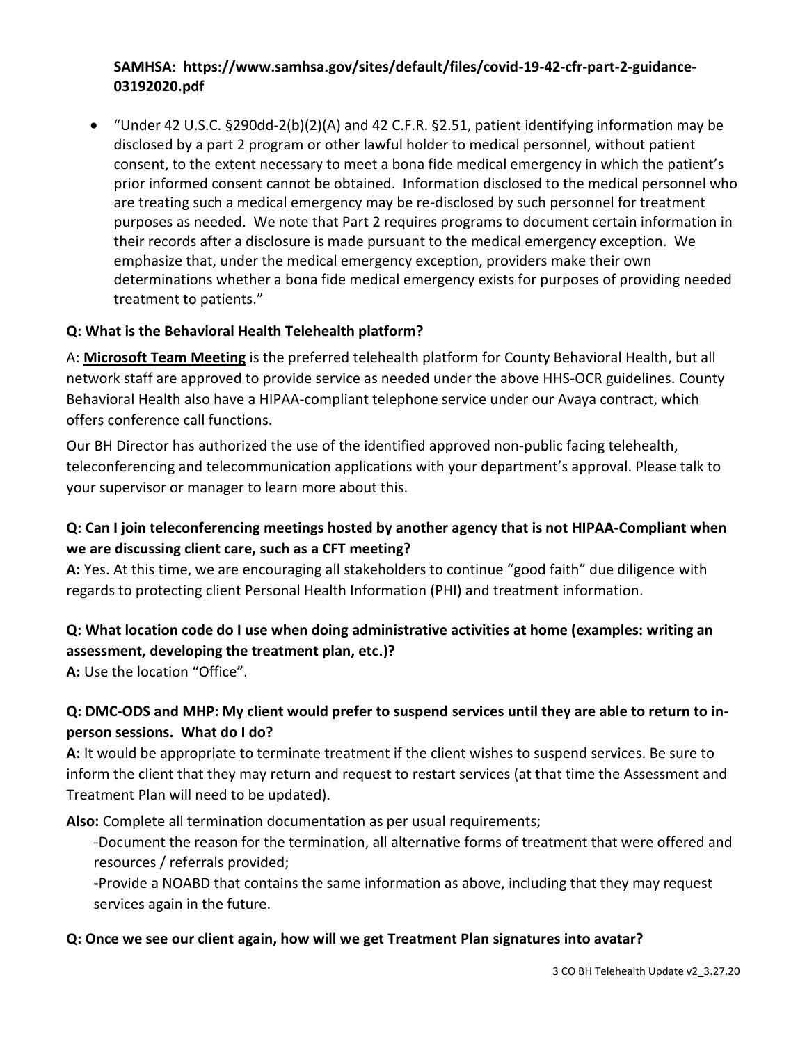#### **SAMHSA: https://www.samhsa.gov/sites/default/files/covid-19-42-cfr-part-2-guidance-03192020.pdf**

• "Under 42 U.S.C. §290dd-2(b)(2)(A) and 42 C.F.R. §2.51, patient identifying information may be disclosed by a part 2 program or other lawful holder to medical personnel, without patient consent, to the extent necessary to meet a bona fide medical emergency in which the patient's prior informed consent cannot be obtained. Information disclosed to the medical personnel who are treating such a medical emergency may be re-disclosed by such personnel for treatment purposes as needed. We note that Part 2 requires programs to document certain information in their records after a disclosure is made pursuant to the medical emergency exception. We emphasize that, under the medical emergency exception, providers make their own determinations whether a bona fide medical emergency exists for purposes of providing needed treatment to patients."

#### **Q: What is the Behavioral Health Telehealth platform?**

A: **Microsoft Team Meeting** is the preferred telehealth platform for County Behavioral Health, but all network staff are approved to provide service as needed under the above HHS-OCR guidelines. County Behavioral Health also have a HIPAA-compliant telephone service under our Avaya contract, which offers conference call functions.

Our BH Director has authorized the use of the identified approved non-public facing telehealth, teleconferencing and telecommunication applications with your department's approval. Please talk to your supervisor or manager to learn more about this.

### **Q: Can I join teleconferencing meetings hosted by another agency that is not HIPAA-Compliant when we are discussing client care, such as a CFT meeting?**

**A:** Yes. At this time, we are encouraging all stakeholders to continue "good faith" due diligence with regards to protecting client Personal Health Information (PHI) and treatment information.

#### **Q: What location code do I use when doing administrative activities at home (examples: writing an assessment, developing the treatment plan, etc.)?**

**A:** Use the location "Office".

### **Q: DMC-ODS and MHP: My client would prefer to suspend services until they are able to return to inperson sessions. What do I do?**

**A:** It would be appropriate to terminate treatment if the client wishes to suspend services. Be sure to inform the client that they may return and request to restart services (at that time the Assessment and Treatment Plan will need to be updated).

**Also:** Complete all termination documentation as per usual requirements;

-Document the reason for the termination, all alternative forms of treatment that were offered and resources / referrals provided;

**-**Provide a NOABD that contains the same information as above, including that they may request services again in the future.

#### **Q: Once we see our client again, how will we get Treatment Plan signatures into avatar?**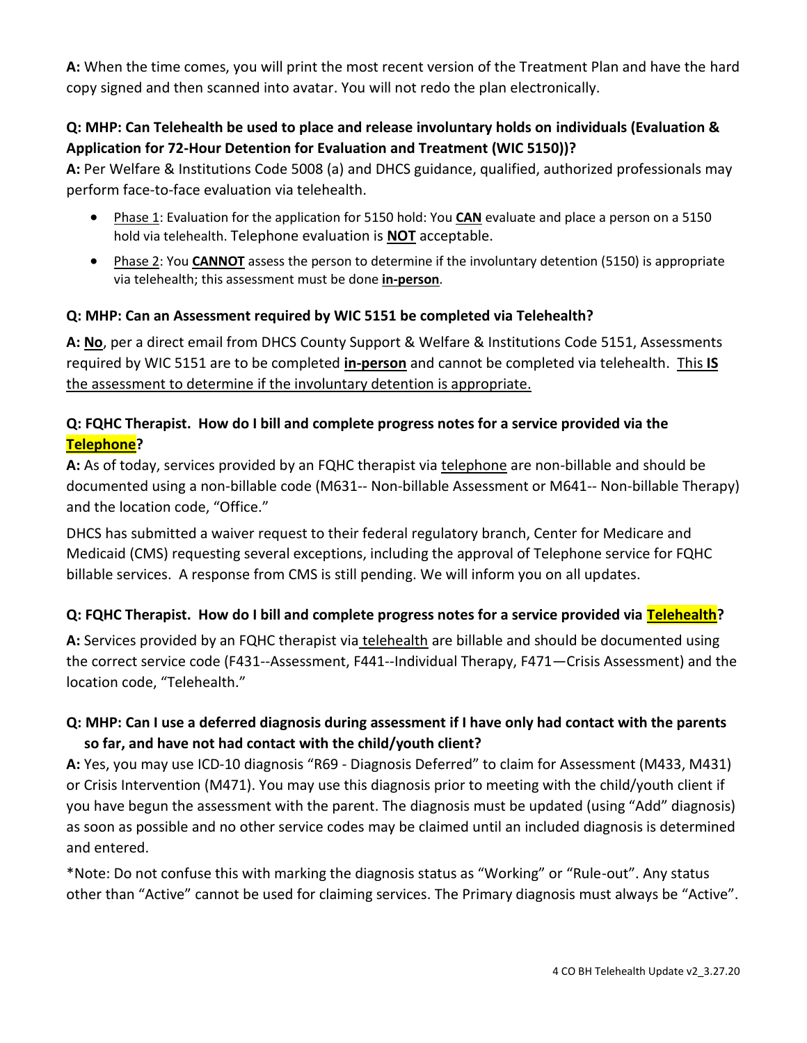**A:** When the time comes, you will print the most recent version of the Treatment Plan and have the hard copy signed and then scanned into avatar. You will not redo the plan electronically.

### **Q: MHP: Can Telehealth be used to place and release involuntary holds on individuals (Evaluation & Application for 72-Hour Detention for Evaluation and Treatment (WIC 5150))?**

**A:** Per Welfare & Institutions Code 5008 (a) and DHCS guidance, qualified, authorized professionals may perform face-to-face evaluation via telehealth.

- Phase 1: Evaluation for the application for 5150 hold: You **CAN** evaluate and place a person on a 5150 hold via telehealth. Telephone evaluation is **NOT** acceptable.
- Phase 2: You **CANNOT** assess the person to determine if the involuntary detention (5150) is appropriate via telehealth; this assessment must be done **in-person**.

#### **Q: MHP: Can an Assessment required by WIC 5151 be completed via Telehealth?**

**A: No**, per a direct email from DHCS County Support & Welfare & Institutions Code 5151, Assessments required by WIC 5151 are to be completed **in-person** and cannot be completed via telehealth. This **IS** the assessment to determine if the involuntary detention is appropriate.

### **Q: FQHC Therapist. How do I bill and complete progress notes for a service provided via the Telephone?**

**A:** As of today, services provided by an FQHC therapist via telephone are non-billable and should be documented using a non-billable code (M631-- Non-billable Assessment or M641-- Non-billable Therapy) and the location code, "Office."

DHCS has submitted a waiver request to their federal regulatory branch, Center for Medicare and Medicaid (CMS) requesting several exceptions, including the approval of Telephone service for FQHC billable services. A response from CMS is still pending. We will inform you on all updates.

### **Q: FQHC Therapist. How do I bill and complete progress notes for a service provided via Telehealth?**

A: Services provided by an FQHC therapist via telehealth are billable and should be documented using the correct service code (F431--Assessment, F441--Individual Therapy, F471—Crisis Assessment) and the location code, "Telehealth."

### **Q: MHP: Can I use a deferred diagnosis during assessment if I have only had contact with the parents so far, and have not had contact with the child/youth client?**

**A:** Yes, you may use ICD-10 diagnosis "R69 - Diagnosis Deferred" to claim for Assessment (M433, M431) or Crisis Intervention (M471). You may use this diagnosis prior to meeting with the child/youth client if you have begun the assessment with the parent. The diagnosis must be updated (using "Add" diagnosis) as soon as possible and no other service codes may be claimed until an included diagnosis is determined and entered.

\*Note: Do not confuse this with marking the diagnosis status as "Working" or "Rule-out". Any status other than "Active" cannot be used for claiming services. The Primary diagnosis must always be "Active".